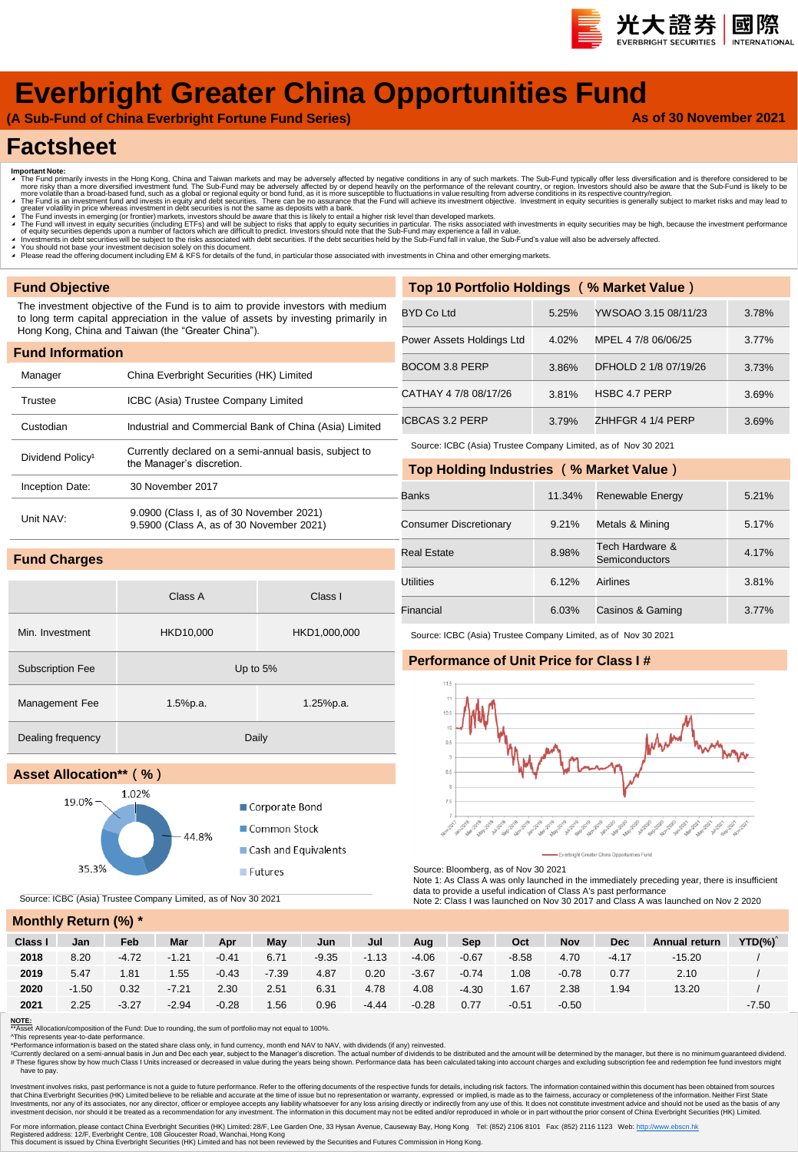# **Everbright Greater China Opportunities Fund**

**(A Sub-Fund of China Everbright Fortune Fund Series)**

### **As of 30 November 2021**

國際

**t大證券** 

# **Factsheet**

- 
- Important Note:<br>
The Fund primarily invests in the Hong Kong, China and Taiwan markets and may be adversely affected by negative conditions in any of such markets. The Sub-Fund typically offer less diversification and i
- 

Class A Class I

Corporate Bond

■ Common Stock

**Futures** 

Cash and Equivalents

- 
- 
- ∡ You should not base your investment decision solely on this document.<br>▲ Please read the offering document including EM & KFS for details of the fund, in particular those associated with investments in China and other em

### **Fund Objective**

**Fund Charges**

The investment objective of the Fund is to aim to provide investors with medium to long term capital appreciation in the value of assets by investing primarily in Hong Kong, China and Taiwan (the "Greater China").

| <b>Fund Information</b>      |                                                                                      |
|------------------------------|--------------------------------------------------------------------------------------|
| Manager                      | China Everbright Securities (HK) Limited                                             |
| Trustee                      | ICBC (Asia) Trustee Company Limited                                                  |
| Custodian                    | Industrial and Commercial Bank of China (Asia) Limited                               |
| Dividend Policy <sup>1</sup> | Currently declared on a semi-annual basis, subject to<br>the Manager's discretion.   |
| Inception Date:              | 30 November 2017                                                                     |
| Unit NAV:                    | 9.0900 (Class I, as of 30 November 2021)<br>9.5900 (Class A, as of 30 November 2021) |

Min. Investment HKD10,000 HKD1,000,000

Management Fee 1.5%p.a. 1.5%p.a. 1.25%p.a.

44.8%

| Top 10 Portfolio Holdings (% Market Value) |       |                       |       |  |  |  |  |  |  |  |
|--------------------------------------------|-------|-----------------------|-------|--|--|--|--|--|--|--|
| <b>BYD Co Ltd</b>                          | 5.25% | YWSOAO 3.15 08/11/23  | 3.78% |  |  |  |  |  |  |  |
| Power Assets Holdings Ltd                  | 4.02% | MPEL 4 7/8 06/06/25   | 3.77% |  |  |  |  |  |  |  |
| BOCOM 3.8 PERP                             | 3.86% | DFHOLD 2 1/8 07/19/26 | 3.73% |  |  |  |  |  |  |  |
| CATHAY 4 7/8 08/17/26                      | 3.81% | <b>HSBC 4.7 PERP</b>  | 3.69% |  |  |  |  |  |  |  |
| ICBCAS 3.2 PERP                            | 3.79% | ZHHFGR 4 1/4 PERP     | 3.69% |  |  |  |  |  |  |  |

Source: ICBC (Asia) Trustee Company Limited, as of Nov 30 2021

| Top Holding Industries (% Market Value) |        |                                   |       |  |  |  |  |  |  |  |
|-----------------------------------------|--------|-----------------------------------|-------|--|--|--|--|--|--|--|
| Banks                                   | 11.34% | Renewable Energy                  | 5.21% |  |  |  |  |  |  |  |
| <b>Consumer Discretionary</b>           | 9.21%  | Metals & Mining                   | 5.17% |  |  |  |  |  |  |  |
| <b>Real Estate</b>                      | 8.98%  | Tech Hardware &<br>Semiconductors | 4.17% |  |  |  |  |  |  |  |
| Utilities                               | 6.12%  | Airlines                          | 3.81% |  |  |  |  |  |  |  |
| Financial                               | 6.03%  | Casinos & Gaming                  | 3.77% |  |  |  |  |  |  |  |

### Source: ICBC (Asia) Trustee Company Limited, as of Nov 30 2021

### **Performance of Unit Price for Class I #**



Source: Bloomberg, as of Nov 30 2021

Note 1: As Class A was only launched in the immediately preceding year, there is insufficient data to provide a useful indication of Class A's past performance

Note 2: Class I was launched on Nov 30 2017 and Class A was launched on Nov 2 2020

### **Monthly Return (%) \***

**Asset Allocation\*\*(%)**

35.3%

19.0%

| $\cdots$ |         |         |         |         |         |         |         |         |         |         |         |            |               |             |
|----------|---------|---------|---------|---------|---------|---------|---------|---------|---------|---------|---------|------------|---------------|-------------|
| Class I  | Jan     | Feb     | Mar     | Apr     | May     | Jun     | Jul     | Aug     | Sep     | Oct     | Nov     | <b>Dec</b> | Annual return | $YTD(\%)^T$ |
| 2018     | 8.20    | $-4.72$ | $-1.21$ | $-0.41$ | 6.71    | $-9.35$ | $-1.13$ | $-4.06$ | $-0.67$ | $-8.58$ | 4.70    | $-4.17$    | $-15.20$      |             |
| 2019     | 5.47    | 1.81    | 1.55    | $-0.43$ | $-7.39$ | 4.87    | 0.20    | $-3.67$ | $-0.74$ | 1.08    | $-0.78$ | 0.77       | 2.10          |             |
| 2020     | $-1.50$ | 0.32    | $-7.21$ | 2.30    | 2.51    | 6.31    | 4.78    | 4.08    | $-4.30$ | 1.67    | 2.38    | 1.94       | 13.20         |             |
| 2021     | 2.25    | $-3.27$ | $-2.94$ | $-0.28$ | 1.56    | 0.96    | $-4.44$ | $-0.28$ | 0.77    | $-0.51$ | $-0.50$ |            |               | $-7.50$     |

**NOTE:** \*\*Asset Allocation/composition of the Fund: Due to rounding, the sum of portfolio may not equal to 100%.

Source: ICBC (Asia) Trustee Company Limited, as of Nov 30 2021

Subscription Fee Up to 5%

Dealing frequency Daily

1.02%

^This represents year-to-date performance.<br>\*Performance information is based on the stated share class only, in fund currency, month end NAV to NAV, with dividends (if any) reinvested.

'Currently declared on a semi-annual basis in Jun and Dec each year, subject to the Manager's discretion. The actual number of dividends to be distributed and the amount will be determined by the manager, but there is no have to pay.

Investment involves risks, past performance is not a guide to future performance. Refer to the offering documents of the respective funds for details, including risk factors. The information completenes of the information Investments, nor any of its associates, nor any director, officer or employee accepts any liability whatsoever for any loss arising directly from any use of this. It desises of any directors of our present in the oriented

For more information, please contact China Everbright Securities (HK) Limited: 28/F, Lee Garden One, 33 Hysan Avenue, Causeway Bay, Hong Kong Tel: (852) 2106 8101 Fax: (852) 2116 1123 Web: <u>[http://www.ebscn.hk](http://www.ebscn.hk/)</u><br>Registered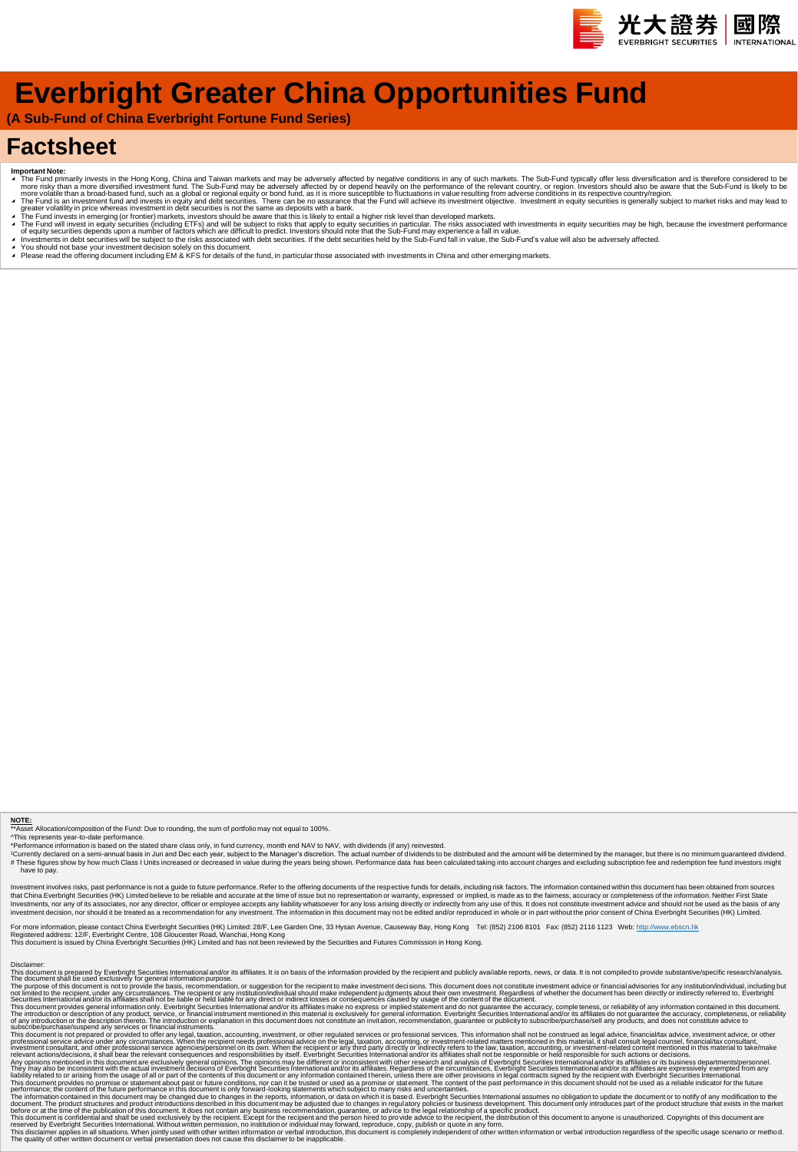

# **Everbright Greater China Opportunities Fund**

**(A Sub-Fund of China Everbright Fortune Fund Series)**

# **Factsheet**

- 
- Important Note:<br>The Fund primarily invests in the Hong Kong, China and Taiwan markets and may be adversely affected by negative conditions in any of such markets. The Sub-Fund typically offer less diversification and is th
- 
- 4 The Fund will invest in equity securities (including ETFs) and will be subject to risks that apply to equity securities in aquity securities may be high, because the investment performance<br>Of equity securities depends u Investments in debt securities will be subject to the risks associated with debt securities. If the debt securities held by the Sub-Fund fall in value, the Sub-Fund's value will also be adversely affected.
- 
- ∡ You should not base your investment decision solely on this document.<br>▲ Please read the offering document including EM & KFS for details of the fund, in particular those associated with investments in China and other em

**NOTE:**<br>"This represents year-to-date performance.<br>"Performance information is based on the stated share class only, in fund currency, month end NAV to NAV, with dividends (if any) reinvested.<br>"Performance information is b

stment involves risks, past performance is not a guide to future performance. Refer to the offering documents of the respective funds for details, including risk factors. The information contained within this document has that China Everbright Securities (HK) Limited believe to be reliable and accurate at the time of issue but no representation or warranty, expressed or implied, is made as to the fairmess, accuracy or meaning the incomplete investment decision, nor should it be treated as a recommendation for any investment. The information in this document may not be edited and/or reproduced in whole or in part without the prior consent of China Everbright S

For more information, please contact China Everbright Securities (HK) Limited: 28/F, Lee Garden One, 33 Hysan Avenue, Causeway Bay, Hong Kong Tel: (852) 2106 8101 Fax: (852) 2116 1123 Web: <u>[http://www.ebscn.hk](http://www.ebscn.hk/)</u><br>Registered

Dischine: mis peparad to Forehrid Securities internalismention and/or is affiliates. It is on basis of the information provide by the recipient and publicly available reports, new, or data. It is not complete to provide su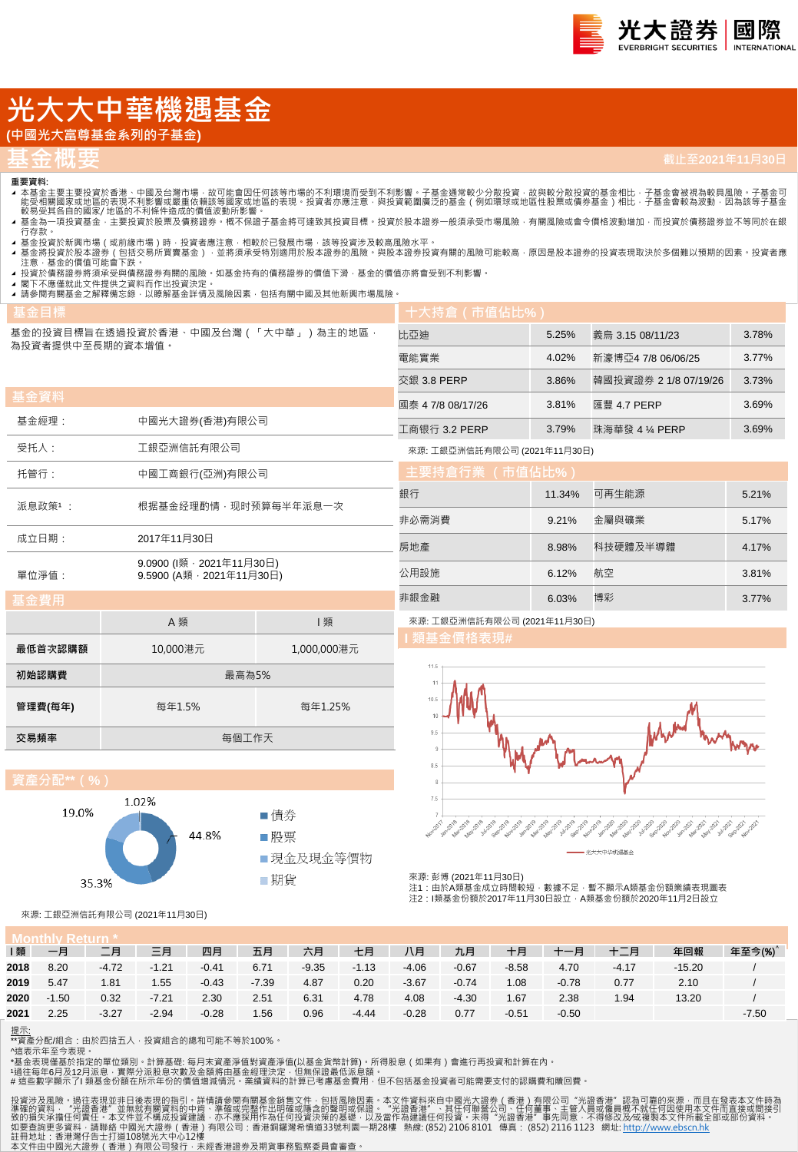# **光大大中華機遇基金**

# **(中國光大富尊基金系列的子基金)**

# **基金概要**

## **重要資料:**

- ▲ 本基金主要主投資於香港、中國及台灣市場,故可能會因任何該等市場的不利環境而受到不利影響。子基金通常較少分散投資,故與較分散投資的基金相比,子基金會被視為較具風險。子基金可<br> 能受相關國家或地區的表現不利影響或嚴重依賴該等國家或地區的表現。投資者亦應注意,與投資範圍廣泛的基金(例如環球或地區性股票或債券基金)相比,子基金會較為波動,因為該等子基金<br> 較易受其各自的國家/ 地區的不利條件造成的價值波動所影響。
- ▲ 基金為一項投資基金 · 主要投資於股票及債務證券 · 概不保證子基金將可達致其投資目標 · 投資於股本證券一般須承受市場風險 · 有關風險或會令價格波動增加 · 而投資於債務證券並不等同於在銀<br> 行存款 ·
- .........<br>基金投資於新興市場(或前緣市場)時 · 投資者應注意 · 相較於已發展市場 · 該等投資涉及較高風險水平。
- ◢ 基金將投資於股本證券(包括交易所買賣基金) · 並將須承受特別適用於股本證券的風險。與股本證券投資有關的風險可能較高 · 原因是股本證券的投資表現取決於多個難以預期的因素 · 投資者應<br> 注意 · 基金的價值可能會下跌 ·
- ◢ 投資於債務證券將須承受與債務證券有關的風險。如基金持有的債務證券的價值下滑,基金的價值亦將會受到不利影響。 ▲ 閣下不應僅就此文件提供之資料而作出投資決定。
- ▲ 請參閱有關基金之解釋備忘錄, 以瞭解基金詳情及風險因素, 包括有關中國及其他新興市場風險。

| 基金目標             |                                                      |             | 十大持倉(帀值佔比%)                  |        |                       |       |  |  |  |
|------------------|------------------------------------------------------|-------------|------------------------------|--------|-----------------------|-------|--|--|--|
| 為投資者提供中至長期的資本增值。 | 基金的投資目標旨在透過投資於香港、中國及台灣(「大中華」)為主的地區,                  |             | 比亞迪                          | 5.25%  | 義烏 3.15 08/11/23      | 3.78% |  |  |  |
|                  |                                                      |             | 電能實業                         | 4.02%  | 新濠博亞4 7/8 06/06/25    | 3.77% |  |  |  |
|                  |                                                      |             | 交銀 3.8 PERP                  | 3.86%  | 韓國投資證券 2 1/8 07/19/26 | 3.73% |  |  |  |
| 基金資料             |                                                      |             | 國泰 4 7/8 08/17/26            | 3.81%  | 匯豐 4.7 PERP           | 3.69% |  |  |  |
| 基金經理:            | 中國光大證券(香港)有限公司                                       |             | 工商银行 3.2 PERP                | 3.79%  | 珠海華發 4 ¼ PERP         | 3.69% |  |  |  |
| 受托人:             | 工銀亞洲信託有限公司                                           |             | 來源: 工銀亞洲信託有限公司 (2021年11月30日) |        |                       |       |  |  |  |
| 托管行:             | 中國工商銀行(亞洲)有限公司                                       |             | 主要持倉行業 (市值佔比%)               |        |                       |       |  |  |  |
| 派息政策1:           | 根据基金经理酌情,现时预算每半年派息一次                                 |             | 銀行                           | 11.34% | 可再生能源                 | 5.21% |  |  |  |
|                  |                                                      |             | 非必需消費                        | 9.21%  | 金屬與礦業                 | 5.17% |  |  |  |
| 成立日期:            | 2017年11月30日                                          |             | 房地產                          | 8.98%  | 科技硬體及半導體              | 4.17% |  |  |  |
| 單位淨值:            | 9.0900 (l類, 2021年11月30日)<br>9.5900 (A類, 2021年11月30日) |             | 公用設施                         | 6.12%  | 航空                    | 3.81% |  |  |  |
| 基金費用             |                                                      |             | 非銀金融                         | 6.03%  | 博彩                    | 3.77% |  |  |  |
|                  | A 類                                                  | 類           | 來源: 工銀亞洲信託有限公司 (2021年11月30日) |        |                       |       |  |  |  |
| 最低首次認購額          | 10,000港元                                             | 1,000,000港元 | Ⅰ 類基金價格表現#                   |        |                       |       |  |  |  |
|                  |                                                      |             | $11.5 +$                     |        |                       |       |  |  |  |

| 初始認購費   | 最高為5%  |         |  |  |  |  |  |  |  |
|---------|--------|---------|--|--|--|--|--|--|--|
| 管理費(每年) | 每年1.5% | 每年1.25% |  |  |  |  |  |  |  |
| 交易頻率    | 每個工作天  |         |  |  |  |  |  |  |  |

## **資產分配\*\*(%)**





來源: 彭博 (2021年11月30日) 注1:由於A類基金成立時間較短,數據不足,暫不顯示A類基金份額業績表現圖表

注2:I類基金份額於2017年11月30日設立,A類基金份額於2020年11月2日設立

來源: 工銀亞洲信託有限公司 (2021年11月30日)

| 類    | 一月      | 二月      | 三月      | 四月      | 五月      | 六月      | 七月      | 八月      | 九月      | 十月      | 十一月     | 十二月     | 年回報      | 年至今(%)  |
|------|---------|---------|---------|---------|---------|---------|---------|---------|---------|---------|---------|---------|----------|---------|
| 2018 | 8.20    | $-4.72$ | $-1.21$ | $-0.41$ | 6.71    | $-9.35$ | $-1.13$ | $-4.06$ | $-0.67$ | $-8.58$ | 4.70    | $-4.17$ | $-15.20$ |         |
| 2019 | 5.47    | 1.81    | 1.55    | $-0.43$ | $-7.39$ | 4.87    | 0.20    | $-3.67$ | $-0.74$ | 1.08    | $-0.78$ | 0.77    | 2.10     |         |
| 2020 | $-1.50$ | 0.32    | $-7.21$ | 2.30    | 2.51    | 6.31    | 4.78    | 4.08    | $-4.30$ | 1.67    | 2.38    | 1.94    | 13.20    |         |
| 2021 | 2.25    | $-3.27$ | $-2.94$ | $-0.28$ | 1.56    | 0.96    | $-4.44$ | $-0.28$ | 0.77    | $-0.51$ | $-0.50$ |         |          | $-7.50$ |

提示:

\*\*資產分配/組合:由於四捨五入,投資組合的總和可能不等於100%。

^這表示年至今表現。

\*基金表現僅基於指定的單位類別。計算基礎: 每月末資產淨值對資產淨值(以基金貨幣計算)。所得股息(如果有)會進行再投資和計算在內。<br>\*過往每年6月及12月派息 · 實際分派股息次數及金額將由基金經理決定 · 但無保證最低派息額 ·<br># 這些數字顧示了I 類基金份額在所示年份的價值增減情況 · 業績資料的計算已考慮基金費用 · 但不包括基金投資者可能需要支付的認購費和贖回費 ·

投資涉及風險・過往表現並非日後表現的指引・詳情請参開有關基金銷售文件・包括風險因素・本文件資料來自中國光大證券(香港)有限公司"光證香港"認為可靠的來源・而且在發表本文件時為<br>準確的資料・"光證香港"並無就有關資料的中肯、準確或完整作出明確或隱含的聲明或保證・"光證香港"、共同作聯營公司、任何董事、主管人員或僱員概不就任何因使用本文件而直接或間接引<br>致的損失承擔任何責任・本文件並不構成投資建議・亦不應採用作為任何投資決策的基礎・以及當作為